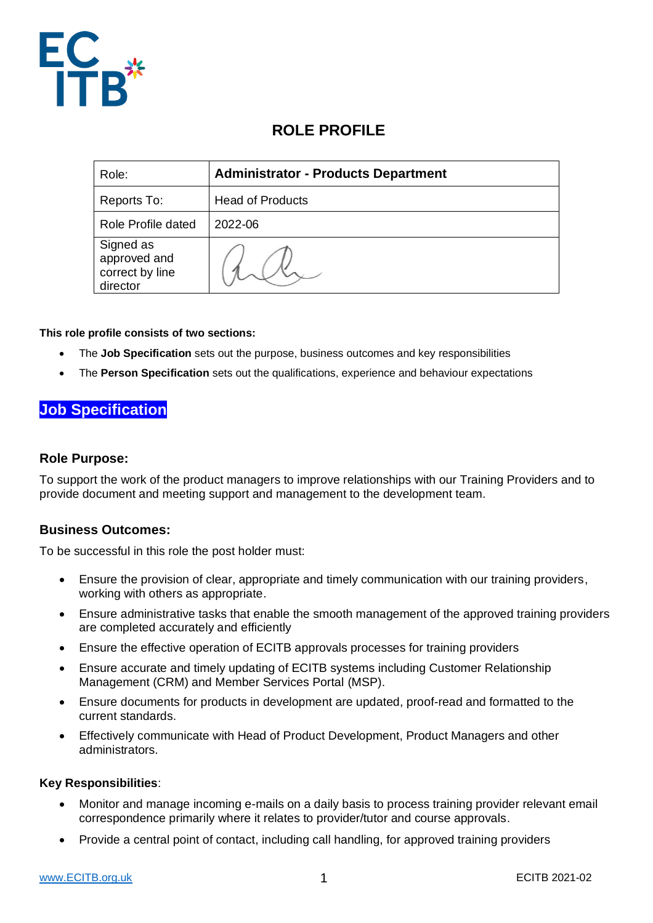

# **ROLE PROFILE**

| Role:                                                    | <b>Administrator - Products Department</b> |
|----------------------------------------------------------|--------------------------------------------|
| Reports To:                                              | <b>Head of Products</b>                    |
| Role Profile dated                                       | 2022-06                                    |
| Signed as<br>approved and<br>correct by line<br>director |                                            |

**This role profile consists of two sections:**

- The **Job Specification** sets out the purpose, business outcomes and key responsibilities
- The **Person Specification** sets out the qualifications, experience and behaviour expectations

# **Job Specification**

### **Role Purpose:**

To support the work of the product managers to improve relationships with our Training Providers and to provide document and meeting support and management to the development team.

### **Business Outcomes:**

To be successful in this role the post holder must:

- Ensure the provision of clear, appropriate and timely communication with our training providers, working with others as appropriate.
- Ensure administrative tasks that enable the smooth management of the approved training providers are completed accurately and efficiently
- Ensure the effective operation of ECITB approvals processes for training providers
- Ensure accurate and timely updating of ECITB systems including Customer Relationship Management (CRM) and Member Services Portal (MSP).
- Ensure documents for products in development are updated, proof-read and formatted to the current standards.
- Effectively communicate with Head of Product Development, Product Managers and other administrators.

#### **Key Responsibilities**:

- Monitor and manage incoming e-mails on a daily basis to process training provider relevant email correspondence primarily where it relates to provider/tutor and course approvals.
- Provide a central point of contact, including call handling, for approved training providers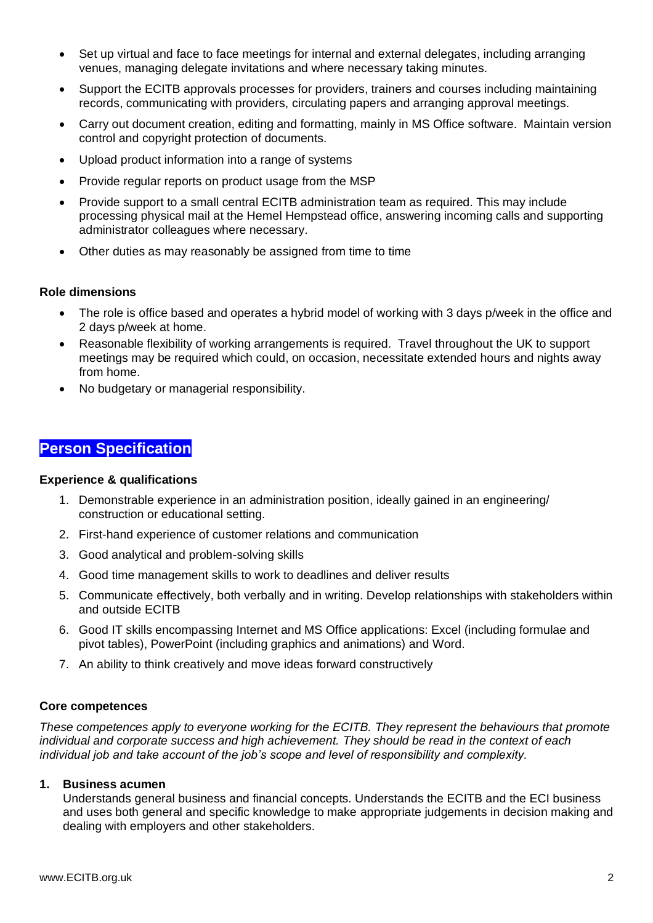- Set up virtual and face to face meetings for internal and external delegates, including arranging venues, managing delegate invitations and where necessary taking minutes.
- Support the ECITB approvals processes for providers, trainers and courses including maintaining records, communicating with providers, circulating papers and arranging approval meetings.
- Carry out document creation, editing and formatting, mainly in MS Office software. Maintain version control and copyright protection of documents.
- Upload product information into a range of systems
- Provide regular reports on product usage from the MSP
- Provide support to a small central ECITB administration team as required. This may include processing physical mail at the Hemel Hempstead office, answering incoming calls and supporting administrator colleagues where necessary.
- Other duties as may reasonably be assigned from time to time

### **Role dimensions**

- The role is office based and operates a hybrid model of working with 3 days p/week in the office and 2 days p/week at home.
- Reasonable flexibility of working arrangements is required. Travel throughout the UK to support meetings may be required which could, on occasion, necessitate extended hours and nights away from home.
- No budgetary or managerial responsibility.

## **Person Specification**

#### **Experience & qualifications**

- 1. Demonstrable experience in an administration position, ideally gained in an engineering/ construction or educational setting.
- 2. First-hand experience of customer relations and communication
- 3. Good analytical and problem-solving skills
- 4. Good time management skills to work to deadlines and deliver results
- 5. Communicate effectively, both verbally and in writing. Develop relationships with stakeholders within and outside ECITB
- 6. Good IT skills encompassing Internet and MS Office applications: Excel (including formulae and pivot tables), PowerPoint (including graphics and animations) and Word.
- 7. An ability to think creatively and move ideas forward constructively

#### **Core competences**

*These competences apply to everyone working for the ECITB. They represent the behaviours that promote individual and corporate success and high achievement. They should be read in the context of each individual job and take account of the job's scope and level of responsibility and complexity.*

#### **1. Business acumen**

Understands general business and financial concepts. Understands the ECITB and the ECI business and uses both general and specific knowledge to make appropriate judgements in decision making and dealing with employers and other stakeholders.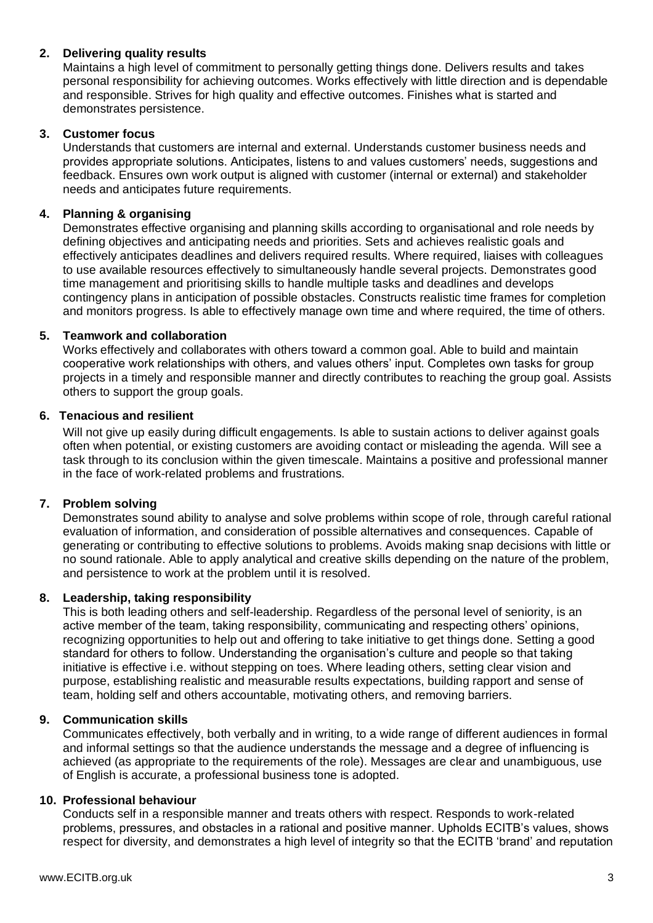### **2. Delivering quality results**

Maintains a high level of commitment to personally getting things done. Delivers results and takes personal responsibility for achieving outcomes. Works effectively with little direction and is dependable and responsible. Strives for high quality and effective outcomes. Finishes what is started and demonstrates persistence.

### **3. Customer focus**

Understands that customers are internal and external. Understands customer business needs and provides appropriate solutions. Anticipates, listens to and values customers' needs, suggestions and feedback. Ensures own work output is aligned with customer (internal or external) and stakeholder needs and anticipates future requirements.

### **4. Planning & organising**

Demonstrates effective organising and planning skills according to organisational and role needs by defining objectives and anticipating needs and priorities. Sets and achieves realistic goals and effectively anticipates deadlines and delivers required results. Where required, liaises with colleagues to use available resources effectively to simultaneously handle several projects. Demonstrates good time management and prioritising skills to handle multiple tasks and deadlines and develops contingency plans in anticipation of possible obstacles. Constructs realistic time frames for completion and monitors progress. Is able to effectively manage own time and where required, the time of others.

### **5. Teamwork and collaboration**

Works effectively and collaborates with others toward a common goal. Able to build and maintain cooperative work relationships with others, and values others' input. Completes own tasks for group projects in a timely and responsible manner and directly contributes to reaching the group goal. Assists others to support the group goals.

### **6. Tenacious and resilient**

Will not give up easily during difficult engagements. Is able to sustain actions to deliver against goals often when potential, or existing customers are avoiding contact or misleading the agenda. Will see a task through to its conclusion within the given timescale. Maintains a positive and professional manner in the face of work-related problems and frustrations.

### **7. Problem solving**

Demonstrates sound ability to analyse and solve problems within scope of role, through careful rational evaluation of information, and consideration of possible alternatives and consequences. Capable of generating or contributing to effective solutions to problems. Avoids making snap decisions with little or no sound rationale. Able to apply analytical and creative skills depending on the nature of the problem, and persistence to work at the problem until it is resolved.

#### **8. Leadership, taking responsibility**

This is both leading others and self-leadership. Regardless of the personal level of seniority, is an active member of the team, taking responsibility, communicating and respecting others' opinions, recognizing opportunities to help out and offering to take initiative to get things done. Setting a good standard for others to follow. Understanding the organisation's culture and people so that taking initiative is effective i.e. without stepping on toes. Where leading others, setting clear vision and purpose, establishing realistic and measurable results expectations, building rapport and sense of team, holding self and others accountable, motivating others, and removing barriers.

#### **9. Communication skills**

Communicates effectively, both verbally and in writing, to a wide range of different audiences in formal and informal settings so that the audience understands the message and a degree of influencing is achieved (as appropriate to the requirements of the role). Messages are clear and unambiguous, use of English is accurate, a professional business tone is adopted.

#### **10. Professional behaviour**

Conducts self in a responsible manner and treats others with respect. Responds to work-related problems, pressures, and obstacles in a rational and positive manner. Upholds ECITB's values, shows respect for diversity, and demonstrates a high level of integrity so that the ECITB 'brand' and reputation